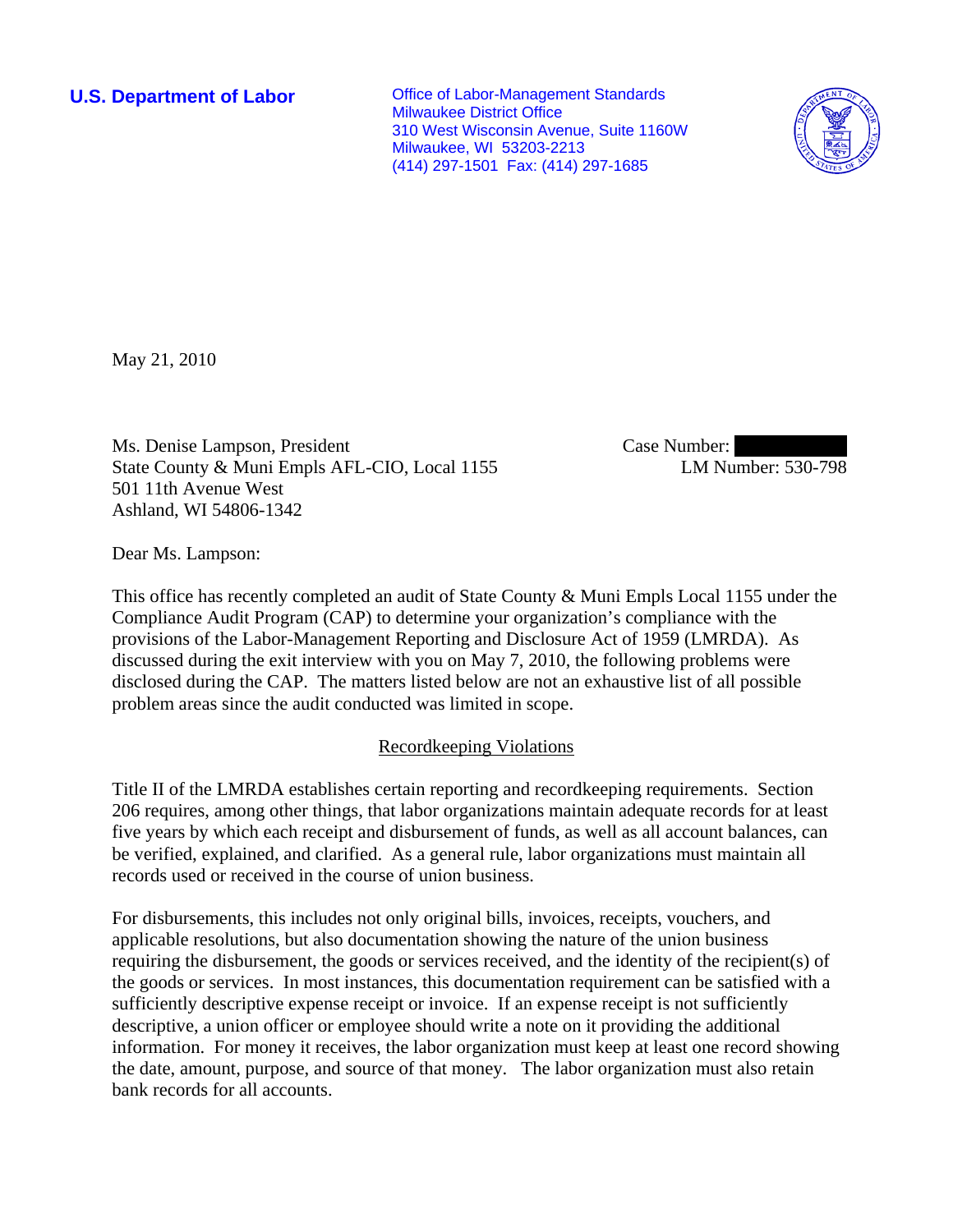**U.S. Department of Labor Conservative Conservative Conservative Conservative Conservative Conservative Conservative Conservative Conservative Conservative Conservative Conservative Conservative Conservative Conservative** Milwaukee District Office 310 West Wisconsin Avenue, Suite 1160W Milwaukee, WI 53203-2213 (414) 297-1501 Fax: (414) 297-1685



May 21, 2010

Ms. Denise Lampson, President State County & Muni Empls AFL-CIO, Local 1155 501 11th Avenue West Ashland, WI 54806-1342

Case Number: LM Number: 530-798

Dear Ms. Lampson:

This office has recently completed an audit of State County & Muni Empls Local 1155 under the Compliance Audit Program (CAP) to determine your organization's compliance with the provisions of the Labor-Management Reporting and Disclosure Act of 1959 (LMRDA). As discussed during the exit interview with you on May 7, 2010, the following problems were disclosed during the CAP. The matters listed below are not an exhaustive list of all possible problem areas since the audit conducted was limited in scope.

## Recordkeeping Violations

Title II of the LMRDA establishes certain reporting and recordkeeping requirements. Section 206 requires, among other things, that labor organizations maintain adequate records for at least five years by which each receipt and disbursement of funds, as well as all account balances, can be verified, explained, and clarified. As a general rule, labor organizations must maintain all records used or received in the course of union business.

For disbursements, this includes not only original bills, invoices, receipts, vouchers, and applicable resolutions, but also documentation showing the nature of the union business requiring the disbursement, the goods or services received, and the identity of the recipient(s) of the goods or services. In most instances, this documentation requirement can be satisfied with a sufficiently descriptive expense receipt or invoice. If an expense receipt is not sufficiently descriptive, a union officer or employee should write a note on it providing the additional information. For money it receives, the labor organization must keep at least one record showing the date, amount, purpose, and source of that money. The labor organization must also retain bank records for all accounts.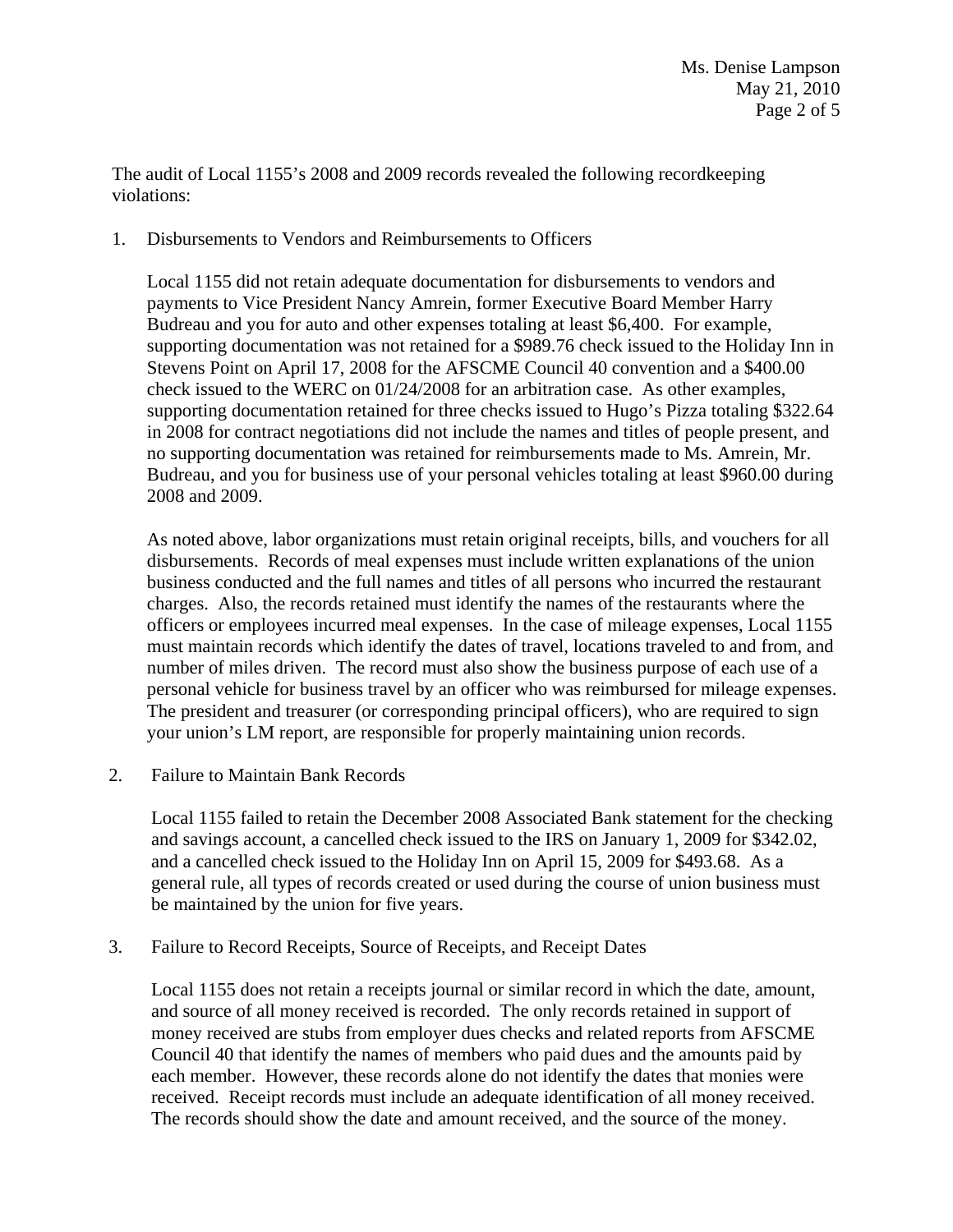The audit of Local 1155's 2008 and 2009 records revealed the following recordkeeping violations:

# 1. Disbursements to Vendors and Reimbursements to Officers

 Local 1155 did not retain adequate documentation for disbursements to vendors and payments to Vice President Nancy Amrein, former Executive Board Member Harry Budreau and you for auto and other expenses totaling at least \$6,400. For example, supporting documentation was not retained for a \$989.76 check issued to the Holiday Inn in Stevens Point on April 17, 2008 for the AFSCME Council 40 convention and a \$400.00 check issued to the WERC on 01/24/2008 for an arbitration case. As other examples, supporting documentation retained for three checks issued to Hugo's Pizza totaling \$322.64 in 2008 for contract negotiations did not include the names and titles of people present, and no supporting documentation was retained for reimbursements made to Ms. Amrein, Mr. Budreau, and you for business use of your personal vehicles totaling at least \$960.00 during 2008 and 2009.

 As noted above, labor organizations must retain original receipts, bills, and vouchers for all disbursements. Records of meal expenses must include written explanations of the union business conducted and the full names and titles of all persons who incurred the restaurant charges. Also, the records retained must identify the names of the restaurants where the officers or employees incurred meal expenses. In the case of mileage expenses, Local 1155 must maintain records which identify the dates of travel, locations traveled to and from, and number of miles driven. The record must also show the business purpose of each use of a personal vehicle for business travel by an officer who was reimbursed for mileage expenses. The president and treasurer (or corresponding principal officers), who are required to sign your union's LM report, are responsible for properly maintaining union records.

2. Failure to Maintain Bank Records

Local 1155 failed to retain the December 2008 Associated Bank statement for the checking and savings account, a cancelled check issued to the IRS on January 1, 2009 for \$342.02, and a cancelled check issued to the Holiday Inn on April 15, 2009 for \$493.68. As a general rule, all types of records created or used during the course of union business must be maintained by the union for five years.

3. Failure to Record Receipts, Source of Receipts, and Receipt Dates

Local 1155 does not retain a receipts journal or similar record in which the date, amount, and source of all money received is recorded. The only records retained in support of money received are stubs from employer dues checks and related reports from AFSCME Council 40 that identify the names of members who paid dues and the amounts paid by each member. However, these records alone do not identify the dates that monies were received. Receipt records must include an adequate identification of all money received. The records should show the date and amount received, and the source of the money.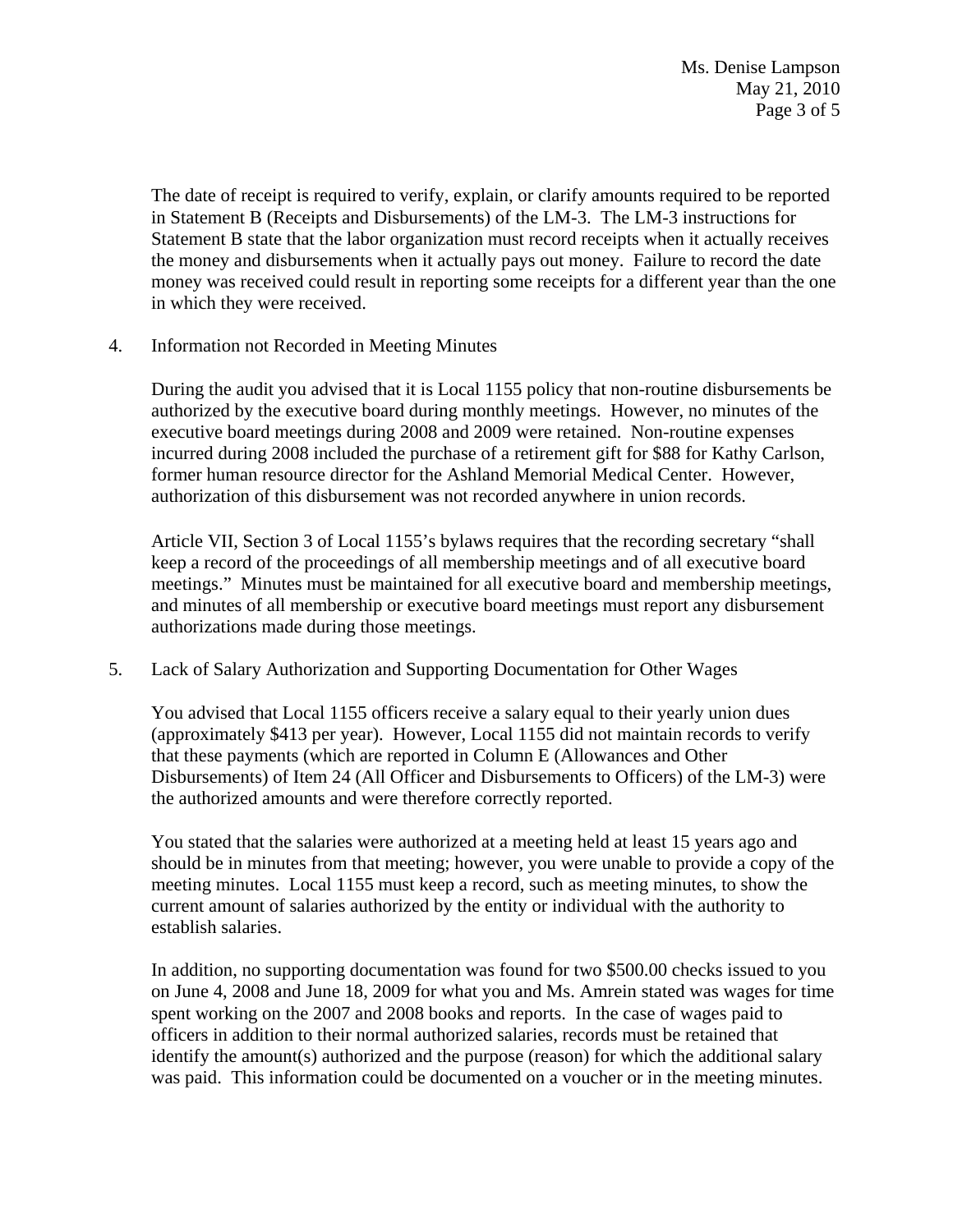Ms. Denise Lampson May 21, 2010 Page 3 of 5

The date of receipt is required to verify, explain, or clarify amounts required to be reported in Statement B (Receipts and Disbursements) of the LM-3. The LM-3 instructions for Statement B state that the labor organization must record receipts when it actually receives the money and disbursements when it actually pays out money. Failure to record the date money was received could result in reporting some receipts for a different year than the one in which they were received.

4. Information not Recorded in Meeting Minutes

During the audit you advised that it is Local 1155 policy that non-routine disbursements be authorized by the executive board during monthly meetings. However, no minutes of the executive board meetings during 2008 and 2009 were retained. Non-routine expenses incurred during 2008 included the purchase of a retirement gift for \$88 for Kathy Carlson, former human resource director for the Ashland Memorial Medical Center. However, authorization of this disbursement was not recorded anywhere in union records.

Article VII, Section 3 of Local 1155's bylaws requires that the recording secretary "shall keep a record of the proceedings of all membership meetings and of all executive board meetings." Minutes must be maintained for all executive board and membership meetings, and minutes of all membership or executive board meetings must report any disbursement authorizations made during those meetings.

5. Lack of Salary Authorization and Supporting Documentation for Other Wages

You advised that Local 1155 officers receive a salary equal to their yearly union dues (approximately \$413 per year). However, Local 1155 did not maintain records to verify that these payments (which are reported in Column E (Allowances and Other Disbursements) of Item 24 (All Officer and Disbursements to Officers) of the LM-3) were the authorized amounts and were therefore correctly reported.

You stated that the salaries were authorized at a meeting held at least 15 years ago and should be in minutes from that meeting; however, you were unable to provide a copy of the meeting minutes. Local 1155 must keep a record, such as meeting minutes, to show the current amount of salaries authorized by the entity or individual with the authority to establish salaries.

In addition, no supporting documentation was found for two \$500.00 checks issued to you on June 4, 2008 and June 18, 2009 for what you and Ms. Amrein stated was wages for time spent working on the 2007 and 2008 books and reports. In the case of wages paid to officers in addition to their normal authorized salaries, records must be retained that identify the amount(s) authorized and the purpose (reason) for which the additional salary was paid. This information could be documented on a voucher or in the meeting minutes.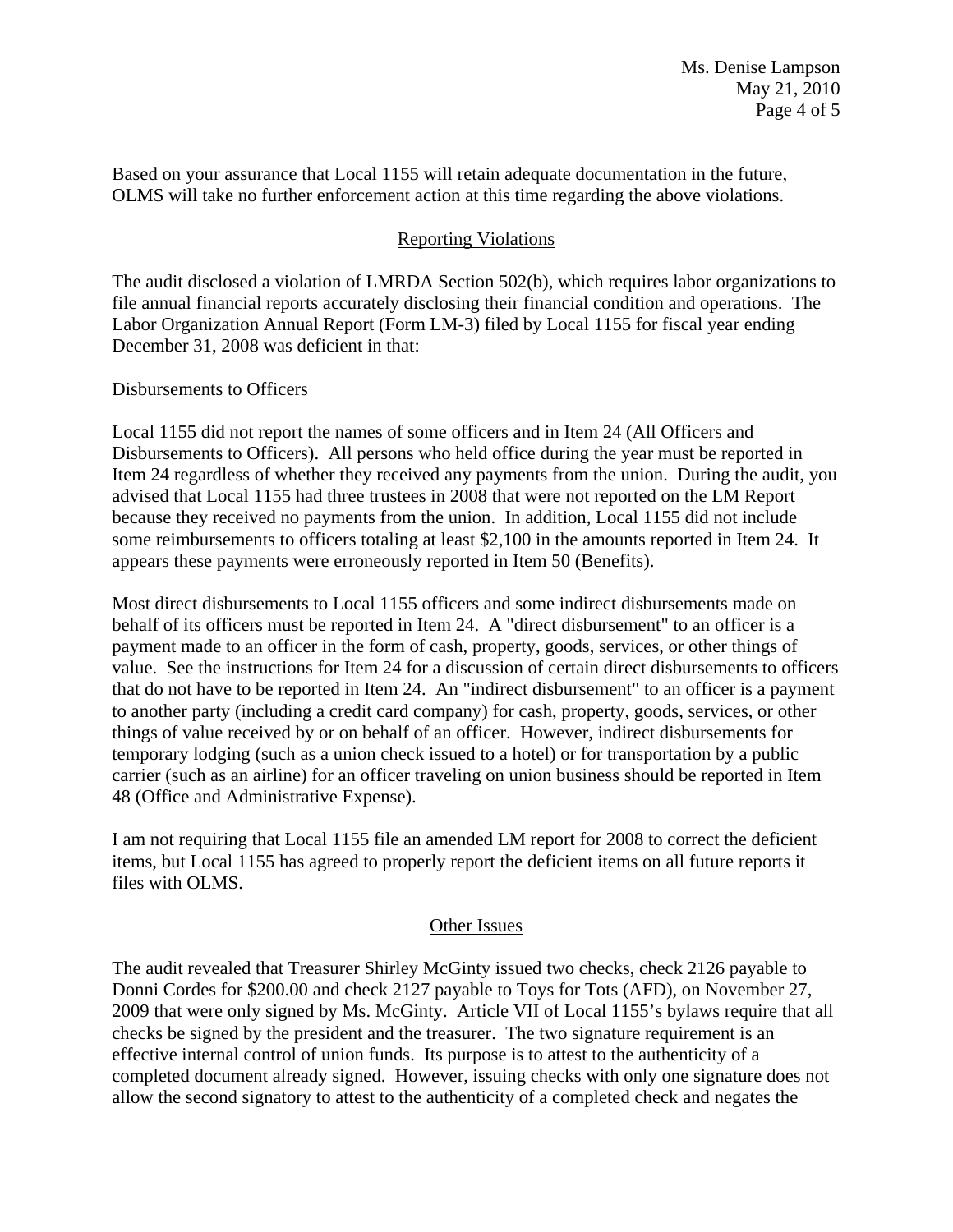Ms. Denise Lampson May 21, 2010 Page 4 of 5

Based on your assurance that Local 1155 will retain adequate documentation in the future, OLMS will take no further enforcement action at this time regarding the above violations.

## Reporting Violations

The audit disclosed a violation of LMRDA Section 502(b), which requires labor organizations to file annual financial reports accurately disclosing their financial condition and operations. The Labor Organization Annual Report (Form LM-3) filed by Local 1155 for fiscal year ending December 31, 2008 was deficient in that:

### Disbursements to Officers

Local 1155 did not report the names of some officers and in Item 24 (All Officers and Disbursements to Officers). All persons who held office during the year must be reported in Item 24 regardless of whether they received any payments from the union. During the audit, you advised that Local 1155 had three trustees in 2008 that were not reported on the LM Report because they received no payments from the union. In addition, Local 1155 did not include some reimbursements to officers totaling at least \$2,100 in the amounts reported in Item 24. It appears these payments were erroneously reported in Item 50 (Benefits).

Most direct disbursements to Local 1155 officers and some indirect disbursements made on behalf of its officers must be reported in Item 24. A "direct disbursement" to an officer is a payment made to an officer in the form of cash, property, goods, services, or other things of value. See the instructions for Item 24 for a discussion of certain direct disbursements to officers that do not have to be reported in Item 24. An "indirect disbursement" to an officer is a payment to another party (including a credit card company) for cash, property, goods, services, or other things of value received by or on behalf of an officer. However, indirect disbursements for temporary lodging (such as a union check issued to a hotel) or for transportation by a public carrier (such as an airline) for an officer traveling on union business should be reported in Item 48 (Office and Administrative Expense).

I am not requiring that Local 1155 file an amended LM report for 2008 to correct the deficient items, but Local 1155 has agreed to properly report the deficient items on all future reports it files with OLMS.

#### Other Issues

The audit revealed that Treasurer Shirley McGinty issued two checks, check 2126 payable to Donni Cordes for \$200.00 and check 2127 payable to Toys for Tots (AFD), on November 27, 2009 that were only signed by Ms. McGinty. Article VII of Local 1155's bylaws require that all checks be signed by the president and the treasurer. The two signature requirement is an effective internal control of union funds. Its purpose is to attest to the authenticity of a completed document already signed. However, issuing checks with only one signature does not allow the second signatory to attest to the authenticity of a completed check and negates the